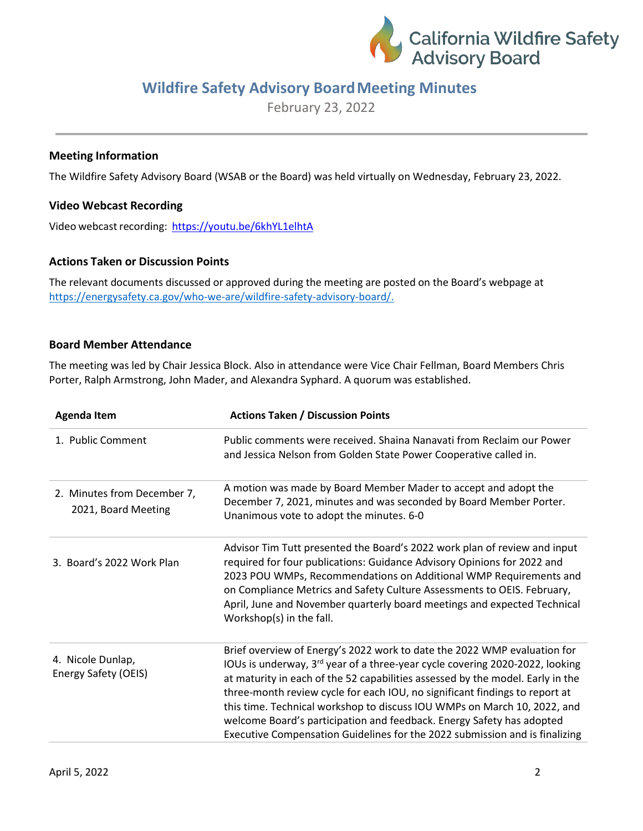

# **Wildfire Safety Advisory BoardMeeting Minutes**

February 23, 2022

## **Meeting Information**

The Wildfire Safety Advisory Board (WSAB or the Board) was held virtually on Wednesday, February 23, 2022.

## **Video Webcast Recording**

Video webcast recording: <https://youtu.be/6khYL1elhtA>

#### **Actions Taken or Discussion Points**

The relevant documents discussed or approved during the meeting are posted on the Board's webpage at [https://energysafety.ca.gov/who-we-are/wildfire-safety-advisory-board/.](https://energysafety.ca.gov/who-we-are/wildfire-safety-advisory-board/)

#### **Board Member Attendance**

The meeting was led by Chair Jessica Block. Also in attendance were Vice Chair Fellman, Board Members Chris Porter, Ralph Armstrong, John Mader, and Alexandra Syphard. A quorum was established.

| <b>Agenda Item</b>                                 | <b>Actions Taken / Discussion Points</b>                                                                                                                                                                                                                                                                                                                                                                                                                                                                                                                                  |
|----------------------------------------------------|---------------------------------------------------------------------------------------------------------------------------------------------------------------------------------------------------------------------------------------------------------------------------------------------------------------------------------------------------------------------------------------------------------------------------------------------------------------------------------------------------------------------------------------------------------------------------|
| 1. Public Comment                                  | Public comments were received. Shaina Nanavati from Reclaim our Power<br>and Jessica Nelson from Golden State Power Cooperative called in.                                                                                                                                                                                                                                                                                                                                                                                                                                |
| 2. Minutes from December 7,<br>2021, Board Meeting | A motion was made by Board Member Mader to accept and adopt the<br>December 7, 2021, minutes and was seconded by Board Member Porter.<br>Unanimous vote to adopt the minutes. 6-0                                                                                                                                                                                                                                                                                                                                                                                         |
| 3. Board's 2022 Work Plan                          | Advisor Tim Tutt presented the Board's 2022 work plan of review and input<br>required for four publications: Guidance Advisory Opinions for 2022 and<br>2023 POU WMPs, Recommendations on Additional WMP Requirements and<br>on Compliance Metrics and Safety Culture Assessments to OEIS. February,<br>April, June and November quarterly board meetings and expected Technical<br>Workshop(s) in the fall.                                                                                                                                                              |
| 4. Nicole Dunlap,<br>Energy Safety (OEIS)          | Brief overview of Energy's 2022 work to date the 2022 WMP evaluation for<br>IOUs is underway, 3 <sup>rd</sup> year of a three-year cycle covering 2020-2022, looking<br>at maturity in each of the 52 capabilities assessed by the model. Early in the<br>three-month review cycle for each IOU, no significant findings to report at<br>this time. Technical workshop to discuss IOU WMPs on March 10, 2022, and<br>welcome Board's participation and feedback. Energy Safety has adopted<br>Executive Compensation Guidelines for the 2022 submission and is finalizing |